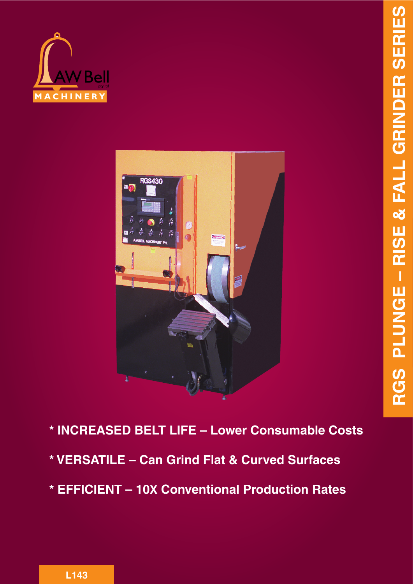



- **\* INCREASED BELT LIFE Lower Consumable Costs**
- **\* VERSATILE Can Grind Flat & Curved Surfaces**
- **\* EFFICIENT 10X Conventional Production Rates**